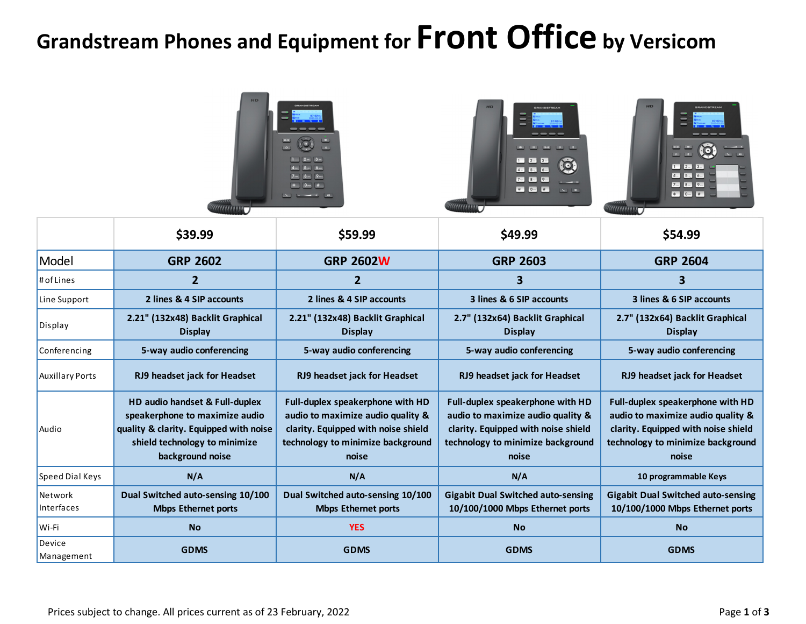## **Grandstream Phones and Equipment for Front Office by Versicom**



|                        | \$39.99                                                                                                                                                         | \$59.99                                                                                                                                                    | \$49.99                                                                                                                                                    | \$54.99                                                                                                                                                    |
|------------------------|-----------------------------------------------------------------------------------------------------------------------------------------------------------------|------------------------------------------------------------------------------------------------------------------------------------------------------------|------------------------------------------------------------------------------------------------------------------------------------------------------------|------------------------------------------------------------------------------------------------------------------------------------------------------------|
| Model                  | <b>GRP 2602</b>                                                                                                                                                 | <b>GRP 2602W</b>                                                                                                                                           | <b>GRP 2603</b>                                                                                                                                            | <b>GRP 2604</b>                                                                                                                                            |
| # of Lines             | $\overline{2}$                                                                                                                                                  |                                                                                                                                                            |                                                                                                                                                            | 3                                                                                                                                                          |
| Line Support           | 2 lines & 4 SIP accounts                                                                                                                                        | 2 lines & 4 SIP accounts                                                                                                                                   | 3 lines & 6 SIP accounts                                                                                                                                   | 3 lines & 6 SIP accounts                                                                                                                                   |
| Display                | 2.21" (132x48) Backlit Graphical<br><b>Display</b>                                                                                                              | 2.21" (132x48) Backlit Graphical<br><b>Display</b>                                                                                                         | 2.7" (132x64) Backlit Graphical<br><b>Display</b>                                                                                                          | 2.7" (132x64) Backlit Graphical<br><b>Display</b>                                                                                                          |
| Conferencing           | 5-way audio conferencing                                                                                                                                        | 5-way audio conferencing                                                                                                                                   | 5-way audio conferencing                                                                                                                                   | 5-way audio conferencing                                                                                                                                   |
| <b>Auxillary Ports</b> | RJ9 headset jack for Headset                                                                                                                                    | RJ9 headset jack for Headset                                                                                                                               | RJ9 headset jack for Headset                                                                                                                               | RJ9 headset jack for Headset                                                                                                                               |
| Audio                  | HD audio handset & Full-duplex<br>speakerphone to maximize audio<br>quality & clarity. Equipped with noise<br>shield technology to minimize<br>background noise | Full-duplex speakerphone with HD<br>audio to maximize audio quality &<br>clarity. Equipped with noise shield<br>technology to minimize background<br>noise | Full-duplex speakerphone with HD<br>audio to maximize audio quality &<br>clarity. Equipped with noise shield<br>technology to minimize background<br>noise | Full-duplex speakerphone with HD<br>audio to maximize audio quality &<br>clarity. Equipped with noise shield<br>technology to minimize background<br>noise |
| Speed Dial Keys        | N/A                                                                                                                                                             | N/A                                                                                                                                                        | N/A                                                                                                                                                        | 10 programmable Keys                                                                                                                                       |
| Network<br>Interfaces  | Dual Switched auto-sensing 10/100<br><b>Mbps Ethernet ports</b>                                                                                                 | Dual Switched auto-sensing 10/100<br><b>Mbps Ethernet ports</b>                                                                                            | <b>Gigabit Dual Switched auto-sensing</b><br>10/100/1000 Mbps Ethernet ports                                                                               | <b>Gigabit Dual Switched auto-sensing</b><br>10/100/1000 Mbps Ethernet ports                                                                               |
| Wi-Fi                  | <b>No</b>                                                                                                                                                       | <b>YES</b>                                                                                                                                                 | <b>No</b>                                                                                                                                                  | <b>No</b>                                                                                                                                                  |
| Device<br>Management   | <b>GDMS</b>                                                                                                                                                     | <b>GDMS</b>                                                                                                                                                | <b>GDMS</b>                                                                                                                                                | <b>GDMS</b>                                                                                                                                                |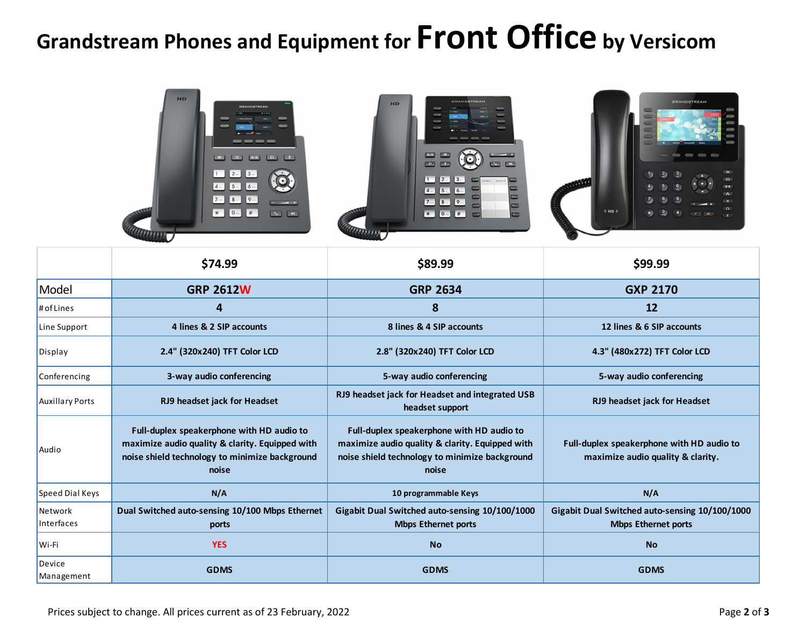## **Grandstream Phones and Equipment for Front Office by Versicom**



|                        | \$74.99                                                                                                                                                 | \$89.99                                                                                                                                                 | \$99.99                                                                        |
|------------------------|---------------------------------------------------------------------------------------------------------------------------------------------------------|---------------------------------------------------------------------------------------------------------------------------------------------------------|--------------------------------------------------------------------------------|
| Model                  | <b>GRP 2612W</b>                                                                                                                                        | <b>GRP 2634</b>                                                                                                                                         | <b>GXP 2170</b>                                                                |
| # of Lines             | 4                                                                                                                                                       | 8                                                                                                                                                       | 12                                                                             |
| Line Support           | 4 lines & 2 SIP accounts                                                                                                                                | 8 lines & 4 SIP accounts                                                                                                                                | 12 lines & 6 SIP accounts                                                      |
| Display                | 2.4" (320x240) TFT Color LCD                                                                                                                            | 2.8" (320x240) TFT Color LCD                                                                                                                            | 4.3" (480x272) TFT Color LCD                                                   |
| Conferencing           | 3-way audio conferencing                                                                                                                                | 5-way audio conferencing                                                                                                                                | 5-way audio conferencing                                                       |
| <b>Auxillary Ports</b> | RJ9 headset jack for Headset                                                                                                                            | RJ9 headset jack for Headset and integrated USB<br>headset support                                                                                      | RJ9 headset jack for Headset                                                   |
| Audio                  | Full-duplex speakerphone with HD audio to<br>maximize audio quality & clarity. Equipped with<br>noise shield technology to minimize background<br>noise | Full-duplex speakerphone with HD audio to<br>maximize audio quality & clarity. Equipped with<br>noise shield technology to minimize background<br>noise | Full-duplex speakerphone with HD audio to<br>maximize audio quality & clarity. |
| Speed Dial Keys        | N/A                                                                                                                                                     | 10 programmable Keys                                                                                                                                    | N/A                                                                            |
| Network<br>Interfaces  | Dual Switched auto-sensing 10/100 Mbps Ethernet<br>ports                                                                                                | Gigabit Dual Switched auto-sensing 10/100/1000<br><b>Mbps Ethernet ports</b>                                                                            | Gigabit Dual Switched auto-sensing 10/100/1000<br><b>Mbps Ethernet ports</b>   |
| Wi-Fi                  | <b>YES</b>                                                                                                                                              | <b>No</b>                                                                                                                                               | <b>No</b>                                                                      |
| Device<br>Management   | <b>GDMS</b>                                                                                                                                             | <b>GDMS</b>                                                                                                                                             | <b>GDMS</b>                                                                    |